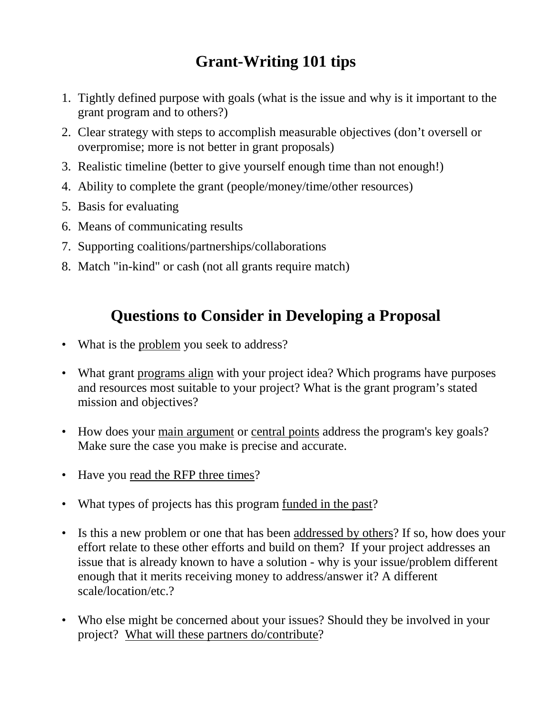## **Grant-Writing 101 tips**

- 1. Tightly defined purpose with goals (what is the issue and why is it important to the grant program and to others?)
- 2. Clear strategy with steps to accomplish measurable objectives (don't oversell or overpromise; more is not better in grant proposals)
- 3. Realistic timeline (better to give yourself enough time than not enough!)
- 4. Ability to complete the grant (people/money/time/other resources)
- 5. Basis for evaluating
- 6. Means of communicating results
- 7. Supporting coalitions/partnerships/collaborations
- 8. Match "in-kind" or cash (not all grants require match)

## **Questions to Consider in Developing a Proposal**

- What is the problem you seek to address?
- What grant programs align with your project idea? Which programs have purposes and resources most suitable to your project? What is the grant program's stated mission and objectives?
- How does your main argument or central points address the program's key goals? Make sure the case you make is precise and accurate.
- Have you read the RFP three times?
- What types of projects has this program <u>funded in the past</u>?
- Is this a new problem or one that has been addressed by others? If so, how does your effort relate to these other efforts and build on them? If your project addresses an issue that is already known to have a solution - why is your issue/problem different enough that it merits receiving money to address/answer it? A different scale/location/etc.?
- Who else might be concerned about your issues? Should they be involved in your project? What will these partners do/contribute?